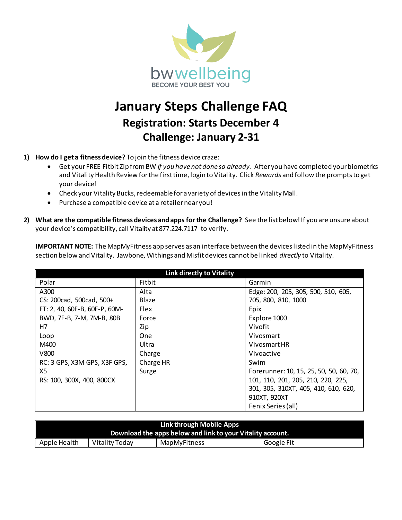

## **January Steps Challenge FAQ Registration: Starts December 4 Challenge: January 2-31**

- **1) How do I get a fitness device?** To join the fitness device craze:
	- Get your FREE Fitbit Zip from BW *if you have not done so already*. After you have completed your biometrics and Vitality Health Review for the first time, login to Vitality. Click *Rewards* and follow the prompts to get your device!
	- Check your Vitality Bucks, redeemable for a variety of devices in the Vitality Mall.
	- Purchase a compatible device at a retailer near you!
- **2) What are the compatible fitness devices and apps for the Challenge?** See the list below! If you are unsure about your device's compatibility, call Vitality at 877.224.7117 to verify.

**IMPORTANT NOTE:** The MapMyFitness app serves as an interface between the devices listed in the MapMyFitness section below and Vitality. Jawbone, Withings and Misfit devices cannot be linked *directly* to Vitality.

| <b>Link directly to Vitality</b> |             |                                         |  |  |
|----------------------------------|-------------|-----------------------------------------|--|--|
| Polar                            | Fitbit      | Garmin                                  |  |  |
| A300                             | Alta        | Edge: 200, 205, 305, 500, 510, 605,     |  |  |
| CS: 200cad, 500cad, 500+         | Blaze       | 705, 800, 810, 1000                     |  |  |
| FT: 2, 40, 60F-B, 60F-P, 60M-    | <b>Flex</b> | Epix                                    |  |  |
| BWD, 7F-B, 7-M, 7M-B, 80B        | Force       | Explore 1000                            |  |  |
| H7                               | Zip         | Vivofit                                 |  |  |
| Loop                             | <b>One</b>  | Vivosmart                               |  |  |
| M400                             | Ultra       | Vivosmart HR                            |  |  |
| V800                             | Charge      | Vivoactive                              |  |  |
| RC: 3 GPS, X3M GPS, X3F GPS,     | Charge HR   | Swim                                    |  |  |
| X5                               | Surge       | Forerunner: 10, 15, 25, 50, 50, 60, 70, |  |  |
| RS: 100, 300X, 400, 800CX        |             | 101, 110, 201, 205, 210, 220, 225,      |  |  |
|                                  |             | 301, 305, 310XT, 405, 410, 610, 620,    |  |  |
|                                  |             | 910XT, 920XT                            |  |  |
|                                  |             | Fenix Series (all)                      |  |  |

| Link through Mobile Apps<br>Download the apps below and link to your Vitality account. |                |              |            |  |  |
|----------------------------------------------------------------------------------------|----------------|--------------|------------|--|--|
| Apple Health                                                                           | Vitality Today | MapMyFitness | Google Fit |  |  |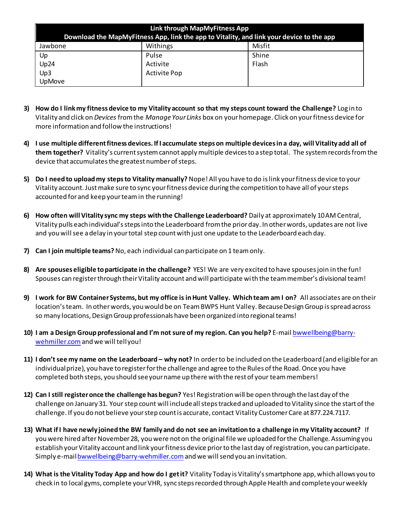| Link through MapMyFitness App                                                            |              |        |  |  |
|------------------------------------------------------------------------------------------|--------------|--------|--|--|
| Download the MapMyFitness App, link the app to Vitality, and link your device to the app |              |        |  |  |
| Jawbone                                                                                  | Withings     | Misfit |  |  |
| Up                                                                                       | Pulse        | Shine  |  |  |
| Up24                                                                                     | Activite     | Flash  |  |  |
| Up3                                                                                      | Activite Pop |        |  |  |
| <b>UpMove</b>                                                                            |              |        |  |  |

- **3) How do I link my fitness device to my Vitality account so that my steps count toward the Challenge?** Log in to Vitality and click on *Devices* from the *Manage Your Links* box on your homepage. Click on your fitness device for more information and follow the instructions!
- **4) I use multiple different fitness devices. If I accumulate steps on multiple devices in a day, will Vitality add all of them together?** Vitality's current system cannot apply multiple devices to a step total. The system records from the device that accumulates the greatest number of steps.
- **5) Do I need to upload my steps to Vitality manually?** Nope! All you have to do is link your fitness device to your Vitality account. Just make sure to sync your fitness device during the competition to have all of your steps accounted for and keep your team in the running!
- **6) How often will Vitality sync my steps with the Challenge Leaderboard?** Daily at approximately 10 AM Central, Vitality pulls each individual's steps into the Leaderboard from the prior day. In other words, updates are not live and you will see a delay in your total step count with just one update to the Leaderboard each day.
- **7) Can I join multiple teams?**No, each individual can participate on 1 team only.
- **8) Are spouses eligible to participate in the challenge?** YES! We are very excited to have spouses join in the fun! Spouses can register through their Vitality account and will participate with the team member's divisional team!
- **9) I work for BW Container Systems, but my office is in Hunt Valley. Which team am I on?** All associates are on their location's team. In other words, you would be on Team BWPS Hunt Valley. Because Design Group is spread across so many locations, Design Group professionals have been organized into regional teams!
- **10) I am a Design Group professional and I'm not sure of my region. Can you help?** E-mai[l bwwellbeing@barry](mailto:bwwellbeing@barry-wehmiller.com)[wehmiller.com](mailto:bwwellbeing@barry-wehmiller.com) and we will tell you!
- **11) I don't see my name on the Leaderboard – why not?** In order to be included on the Leaderboard (and eligible for an individual prize), you have to register for the challenge and agree to the Rules of the Road. Once you have completed both steps, you should see your name up there with the rest of your team members!
- **12) Can I still register once the challenge has begun?** Yes! Registration will be open through the last day of the challenge on January 31. Your step count will include all steps tracked and uploaded to Vitality since the start of the challenge. If you do not believe your step count is accurate, contact Vitality Customer Care at 877.224.7117.
- **13) What if I have newly joined the BW family and do not see an invitation to a challenge in my Vitality account?** If you were hired after November 28, you were not on the original file we uploaded for the Challenge. Assuming you establish your Vitality account and link your fitness device prior to the last day of registration, you can participate. Simply e-mai[l bwwellbeing@barry-wehmiller.com](mailto:bwwellbeing@barry-wehmiller.com)and we will send you an invitation.
- **14) What is the Vitality Today App and how do I get it?** Vitality Today is Vitality's smartphone app, which allows you to check in to local gyms, complete your VHR, sync steps recorded through Apple Health and complete your weekly